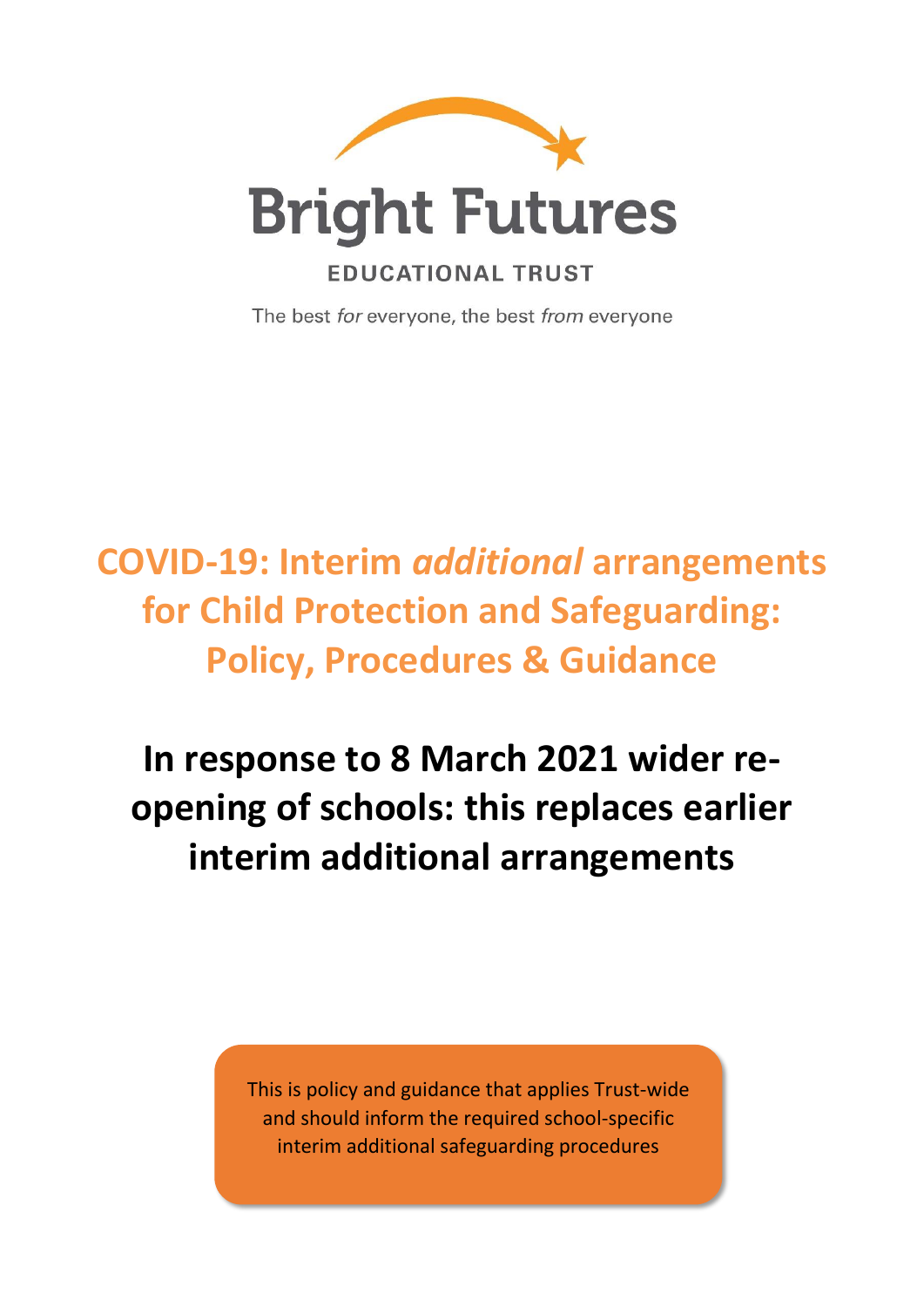

The best for everyone, the best from everyone

# **COVID-19: Interim** *additional* **arrangements for Child Protection and Safeguarding: Policy, Procedures & Guidance**

**In response to 8 March 2021 wider reopening of schools: this replaces earlier interim additional arrangements**

> This is policy and guidance that applies Trust-wide and should inform the required school-specific interim additional safeguarding procedures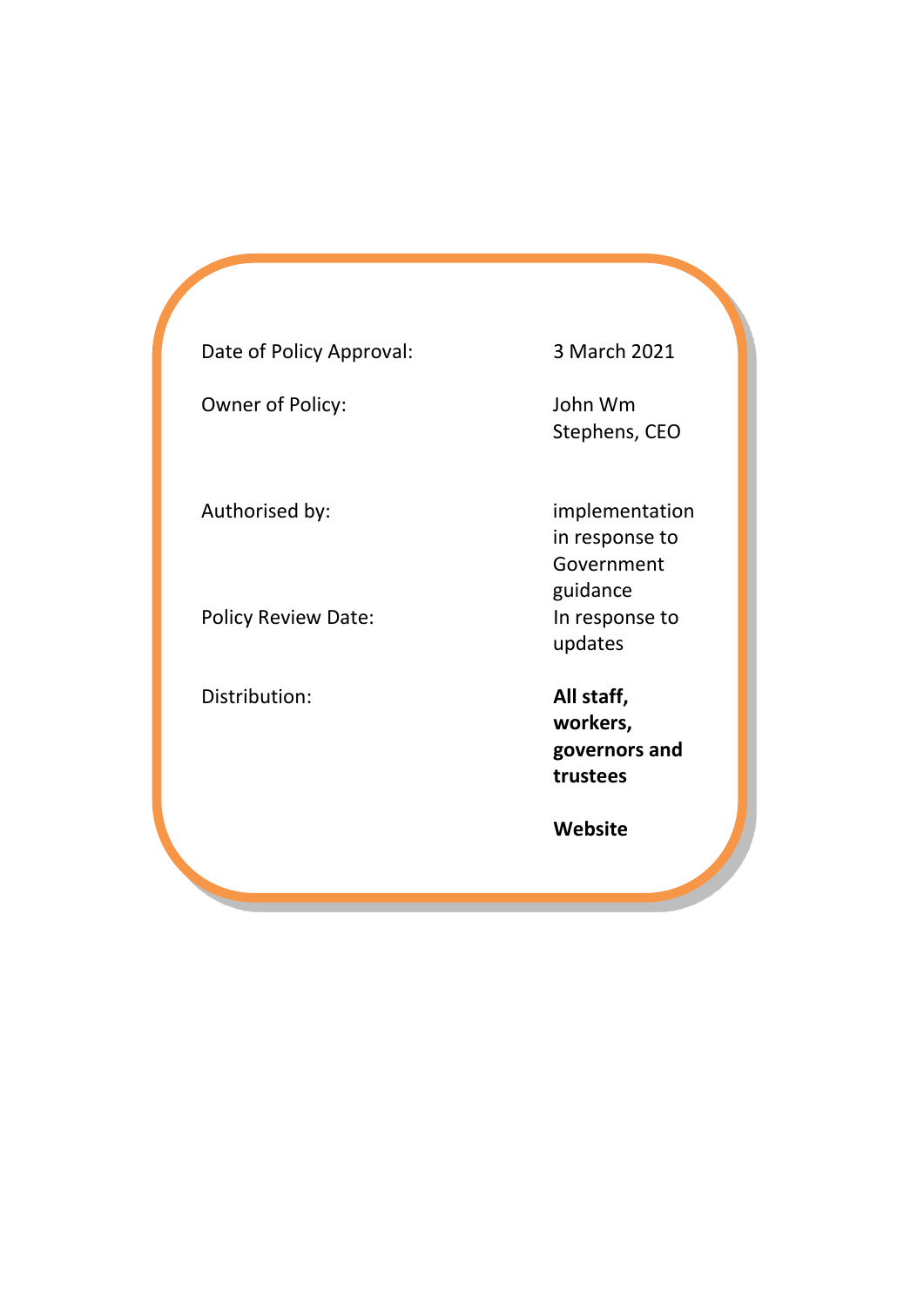Date of Policy Approval: 3 March 2021

Owner of Policy: John Wm

Policy Review Date: In response to

Distribution: **All staff,** 

Stephens, CEO

Authorised by: implementation in response to Government guidance updates

> **workers, governors and trustees**

**Website**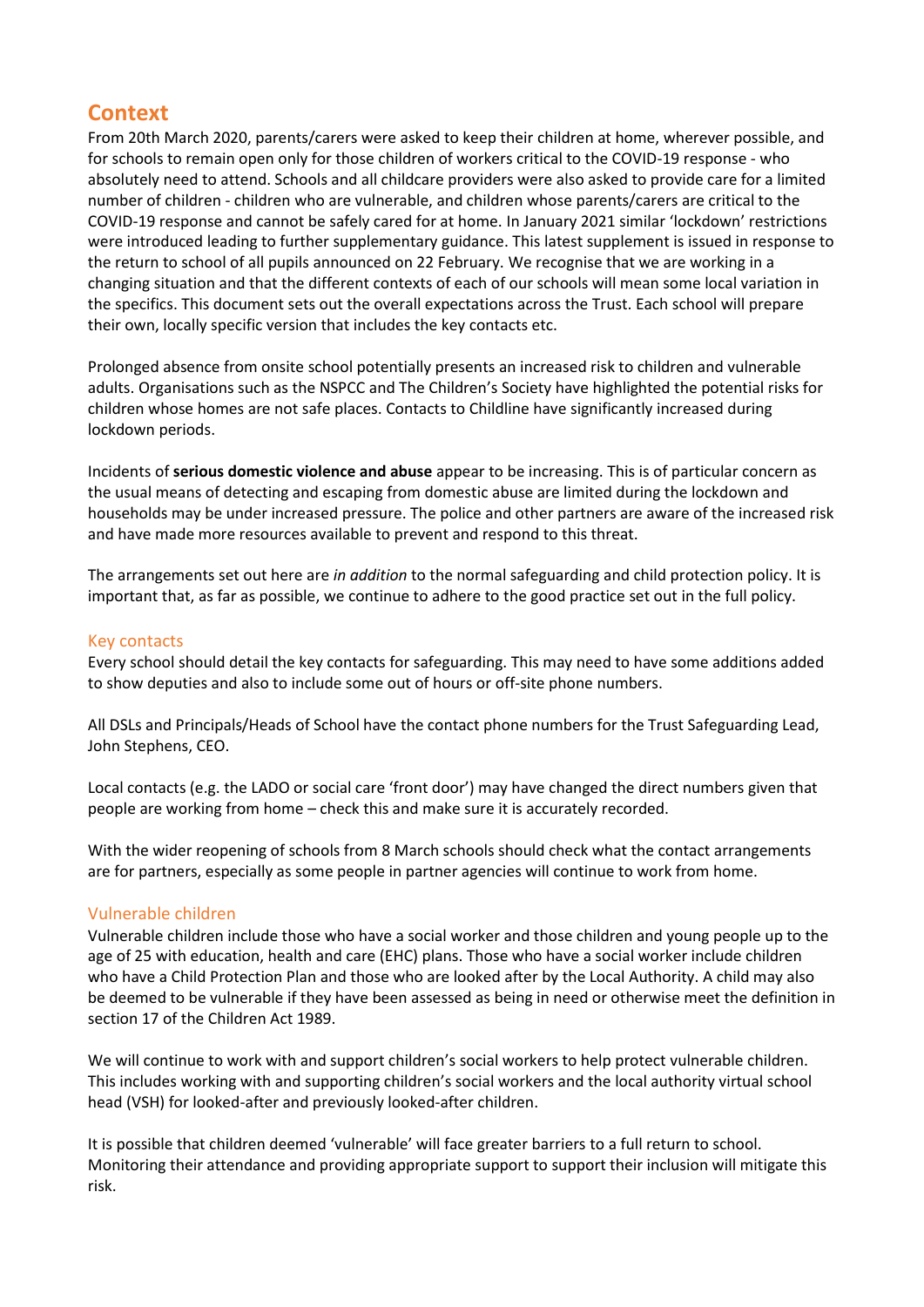# **Context**

From 20th March 2020, parents/carers were asked to keep their children at home, wherever possible, and for schools to remain open only for those children of workers critical to the COVID-19 response - who absolutely need to attend. Schools and all childcare providers were also asked to provide care for a limited number of children - children who are vulnerable, and children whose parents/carers are critical to the COVID-19 response and cannot be safely cared for at home. In January 2021 similar 'lockdown' restrictions were introduced leading to further supplementary guidance. This latest supplement is issued in response to the return to school of all pupils announced on 22 February. We recognise that we are working in a changing situation and that the different contexts of each of our schools will mean some local variation in the specifics. This document sets out the overall expectations across the Trust. Each school will prepare their own, locally specific version that includes the key contacts etc.

Prolonged absence from onsite school potentially presents an increased risk to children and vulnerable adults. Organisations such as the NSPCC and The Children's Society have highlighted the potential risks for children whose homes are not safe places. Contacts to Childline have significantly increased during lockdown periods.

Incidents of **serious domestic violence and abuse** appear to be increasing. This is of particular concern as the usual means of detecting and escaping from domestic abuse are limited during the lockdown and households may be under increased pressure. The police and other partners are aware of the increased risk and have made more resources available to prevent and respond to this threat.

The arrangements set out here are *in addition* to the normal safeguarding and child protection policy. It is important that, as far as possible, we continue to adhere to the good practice set out in the full policy.

### Key contacts

Every school should detail the key contacts for safeguarding. This may need to have some additions added to show deputies and also to include some out of hours or off-site phone numbers.

All DSLs and Principals/Heads of School have the contact phone numbers for the Trust Safeguarding Lead, John Stephens, CEO.

Local contacts (e.g. the LADO or social care 'front door') may have changed the direct numbers given that people are working from home – check this and make sure it is accurately recorded.

With the wider reopening of schools from 8 March schools should check what the contact arrangements are for partners, especially as some people in partner agencies will continue to work from home.

# Vulnerable children

Vulnerable children include those who have a social worker and those children and young people up to the age of 25 with education, health and care (EHC) plans. Those who have a social worker include children who have a Child Protection Plan and those who are looked after by the Local Authority. A child may also be deemed to be vulnerable if they have been assessed as being in need or otherwise meet the definition in section 17 of the Children Act 1989.

We will continue to work with and support children's social workers to help protect vulnerable children. This includes working with and supporting children's social workers and the local authority virtual school head (VSH) for looked-after and previously looked-after children.

It is possible that children deemed 'vulnerable' will face greater barriers to a full return to school. Monitoring their attendance and providing appropriate support to support their inclusion will mitigate this risk.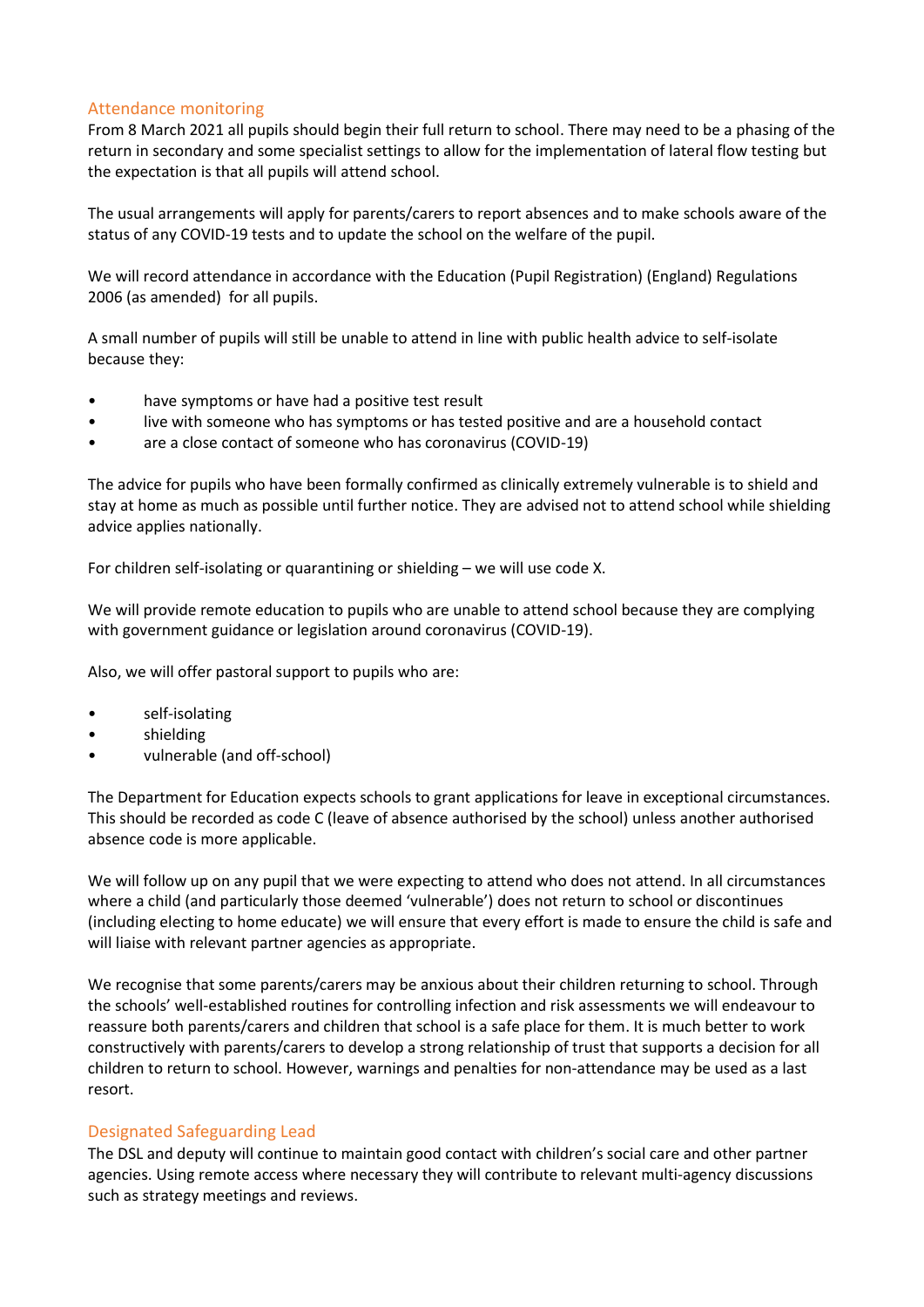## Attendance monitoring

From 8 March 2021 all pupils should begin their full return to school. There may need to be a phasing of the return in secondary and some specialist settings to allow for the implementation of lateral flow testing but the expectation is that all pupils will attend school.

The usual arrangements will apply for parents/carers to report absences and to make schools aware of the status of any COVID-19 tests and to update the school on the welfare of the pupil.

We will record attendance in accordance with the Education (Pupil Registration) (England) Regulations 2006 (as amended) for all pupils.

A small number of pupils will still be unable to attend in line with public health advice to self-isolate because they:

- have symptoms or have had a positive test result
- live with someone who has symptoms or has tested positive and are a household contact
- are a close contact of someone who has coronavirus (COVID-19)

The advice for pupils who have been formally confirmed as clinically extremely vulnerable is to shield and stay at home as much as possible until further notice. They are advised not to attend school while shielding advice applies nationally.

For children self-isolating or quarantining or shielding – we will use code X.

We will provide remote education to pupils who are unable to attend school because they are complying with government guidance or legislation around coronavirus (COVID-19).

Also, we will offer pastoral support to pupils who are:

- self-isolating
- shielding
- vulnerable (and off-school)

The Department for Education expects schools to grant applications for leave in exceptional circumstances. This should be recorded as code C (leave of absence authorised by the school) unless another authorised absence code is more applicable.

We will follow up on any pupil that we were expecting to attend who does not attend. In all circumstances where a child (and particularly those deemed 'vulnerable') does not return to school or discontinues (including electing to home educate) we will ensure that every effort is made to ensure the child is safe and will liaise with relevant partner agencies as appropriate.

We recognise that some parents/carers may be anxious about their children returning to school. Through the schools' well-established routines for controlling infection and risk assessments we will endeavour to reassure both parents/carers and children that school is a safe place for them. It is much better to work constructively with parents/carers to develop a strong relationship of trust that supports a decision for all children to return to school. However, warnings and penalties for non-attendance may be used as a last resort.

#### Designated Safeguarding Lead

The DSL and deputy will continue to maintain good contact with children's social care and other partner agencies. Using remote access where necessary they will contribute to relevant multi-agency discussions such as strategy meetings and reviews.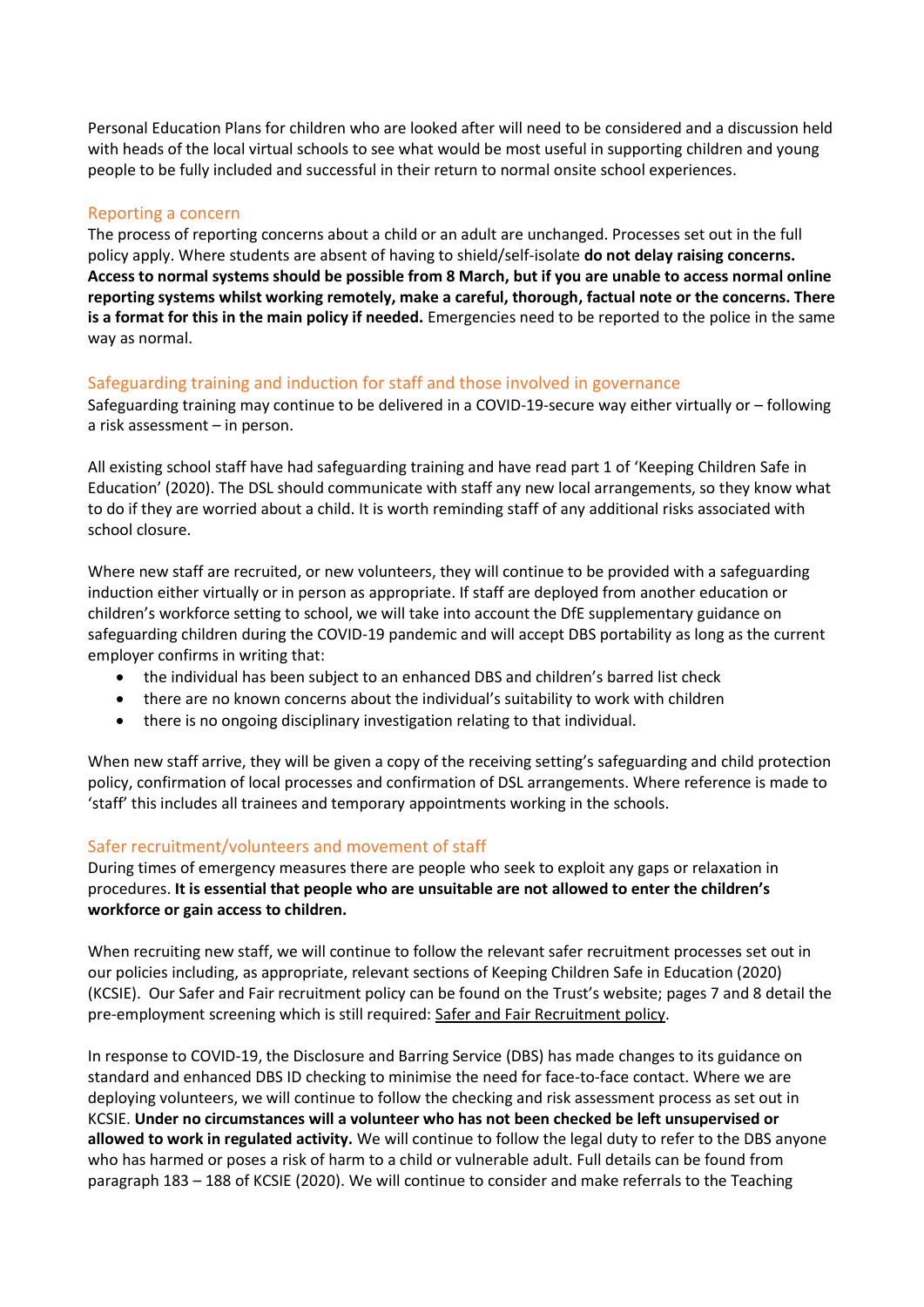Personal Education Plans for children who are looked after will need to be considered and a discussion held with heads of the local virtual schools to see what would be most useful in supporting children and young people to be fully included and successful in their return to normal onsite school experiences.

## Reporting a concern

The process of reporting concerns about a child or an adult are unchanged. Processes set out in the full policy apply. Where students are absent of having to shield/self-isolate **do not delay raising concerns. Access to normal systems should be possible from 8 March, but if you are unable to access normal online reporting systems whilst working remotely, make a careful, thorough, factual note or the concerns. There is a format for this in the main policy if needed.** Emergencies need to be reported to the police in the same way as normal.

### Safeguarding training and induction for staff and those involved in governance

Safeguarding training may continue to be delivered in a COVID-19-secure way either virtually or – following a risk assessment – in person.

All existing school staff have had safeguarding training and have read part 1 of 'Keeping Children Safe in Education' (2020). The DSL should communicate with staff any new local arrangements, so they know what to do if they are worried about a child. It is worth reminding staff of any additional risks associated with school closure.

Where new staff are recruited, or new volunteers, they will continue to be provided with a safeguarding induction either virtually or in person as appropriate. If staff are deployed from another education or children's workforce setting to school, we will take into account the DfE supplementary guidance on safeguarding children during the COVID-19 pandemic and will accept DBS portability as long as the current employer confirms in writing that:

- the individual has been subject to an enhanced DBS and children's barred list check
- there are no known concerns about the individual's suitability to work with children
- there is no ongoing disciplinary investigation relating to that individual.

When new staff arrive, they will be given a copy of the receiving setting's safeguarding and child protection policy, confirmation of local processes and confirmation of DSL arrangements. Where reference is made to 'staff' this includes all trainees and temporary appointments working in the schools.

#### Safer recruitment/volunteers and movement of staff

During times of emergency measures there are people who seek to exploit any gaps or relaxation in procedures. **It is essential that people who are unsuitable are not allowed to enter the children's workforce or gain access to children.** 

When recruiting new staff, we will continue to follow the relevant safer recruitment processes set out in our policies including, as appropriate, relevant sections of Keeping Children Safe in Education (2020) (KCSIE). Our Safer and Fair recruitment policy can be found on the Trust's website; pages 7 and 8 detail the pre-employment screening which is still required: [Safer and Fair Recruitment policy.](file:///C:/Users/jstephens/AppData/Local/Microsoft/Windows/INetCache/Content.Outlook/CT2LIDQ6/Safer%20and%20Fair%20recruitment%20policy)

In response to COVID-19, the Disclosure and Barring Service (DBS) has made changes to its guidance on standard and enhanced DBS ID checking to minimise the need for face-to-face contact. Where we are deploying volunteers, we will continue to follow the checking and risk assessment process as set out in KCSIE. **Under no circumstances will a volunteer who has not been checked be left unsupervised or allowed to work in regulated activity.** We will continue to follow the legal duty to refer to the DBS anyone who has harmed or poses a risk of harm to a child or vulnerable adult. Full details can be found from paragraph 183 – 188 of KCSIE (2020). We will continue to consider and make referrals to the Teaching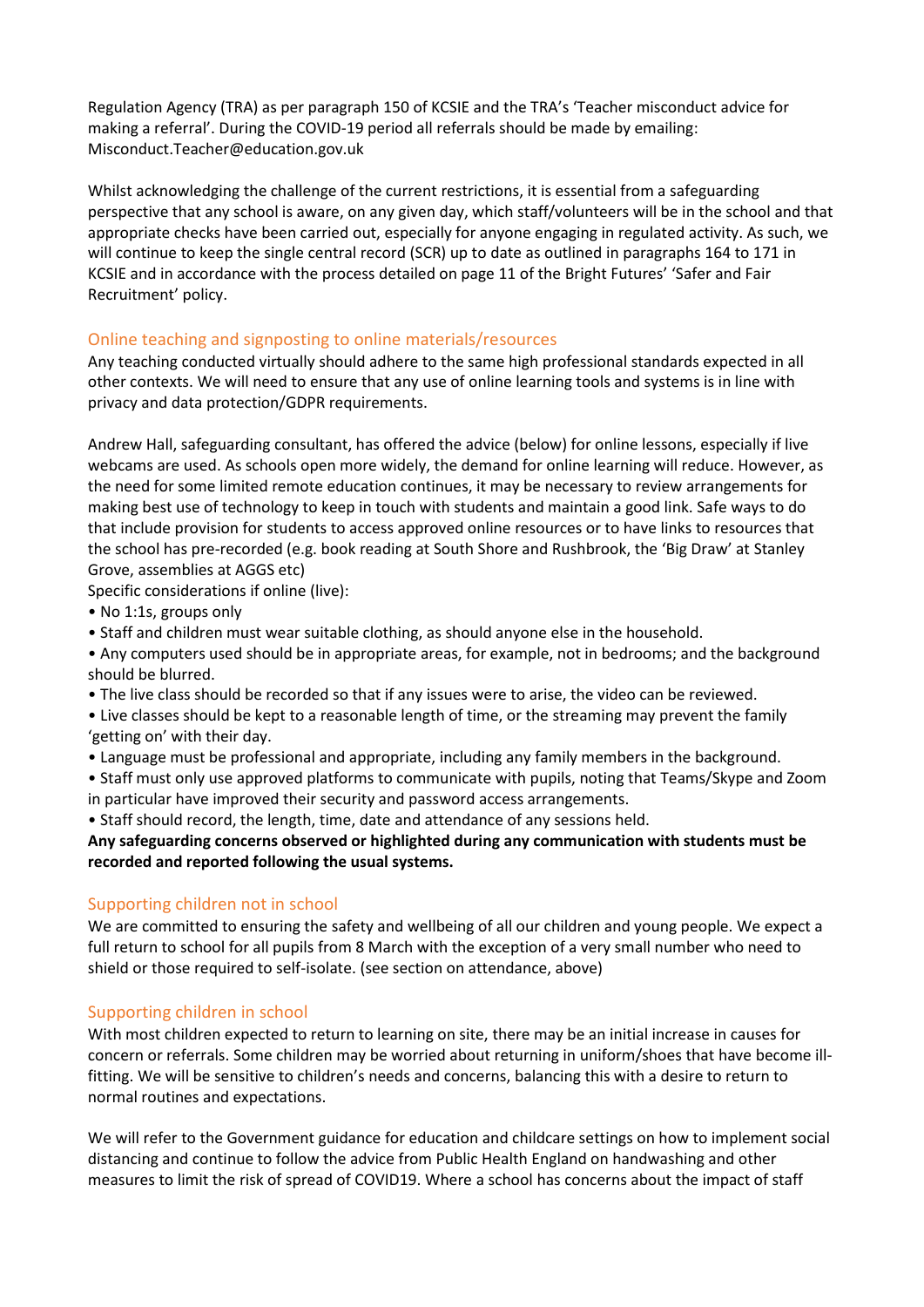Regulation Agency (TRA) as per paragraph 150 of KCSIE and the TRA's 'Teacher misconduct advice for making a referral'. During the COVID-19 period all referrals should be made by emailing: Misconduct.Teacher@education.gov.uk

Whilst acknowledging the challenge of the current restrictions, it is essential from a safeguarding perspective that any school is aware, on any given day, which staff/volunteers will be in the school and that appropriate checks have been carried out, especially for anyone engaging in regulated activity. As such, we will continue to keep the single central record (SCR) up to date as outlined in paragraphs 164 to 171 in KCSIE and in accordance with the process detailed on page 11 of the Bright Futures' 'Safer and Fair Recruitment' policy.

# Online teaching and signposting to online materials/resources

Any teaching conducted virtually should adhere to the same high professional standards expected in all other contexts. We will need to ensure that any use of online learning tools and systems is in line with privacy and data protection/GDPR requirements.

Andrew Hall, safeguarding consultant, has offered the advice (below) for online lessons, especially if live webcams are used. As schools open more widely, the demand for online learning will reduce. However, as the need for some limited remote education continues, it may be necessary to review arrangements for making best use of technology to keep in touch with students and maintain a good link. Safe ways to do that include provision for students to access approved online resources or to have links to resources that the school has pre-recorded (e.g. book reading at South Shore and Rushbrook, the 'Big Draw' at Stanley Grove, assemblies at AGGS etc)

Specific considerations if online (live):

- No 1:1s, groups only
- Staff and children must wear suitable clothing, as should anyone else in the household.

• Any computers used should be in appropriate areas, for example, not in bedrooms; and the background should be blurred.

• The live class should be recorded so that if any issues were to arise, the video can be reviewed.

• Live classes should be kept to a reasonable length of time, or the streaming may prevent the family 'getting on' with their day.

• Language must be professional and appropriate, including any family members in the background.

• Staff must only use approved platforms to communicate with pupils, noting that Teams/Skype and Zoom in particular have improved their security and password access arrangements.

• Staff should record, the length, time, date and attendance of any sessions held.

**Any safeguarding concerns observed or highlighted during any communication with students must be recorded and reported following the usual systems.**

# Supporting children not in school

We are committed to ensuring the safety and wellbeing of all our children and young people. We expect a full return to school for all pupils from 8 March with the exception of a very small number who need to shield or those required to self-isolate. (see section on attendance, above)

# Supporting children in school

With most children expected to return to learning on site, there may be an initial increase in causes for concern or referrals. Some children may be worried about returning in uniform/shoes that have become illfitting. We will be sensitive to children's needs and concerns, balancing this with a desire to return to normal routines and expectations.

We will refer to the Government guidance for education and childcare settings on how to implement social distancing and continue to follow the advice from Public Health England on handwashing and other measures to limit the risk of spread of COVID19. Where a school has concerns about the impact of staff